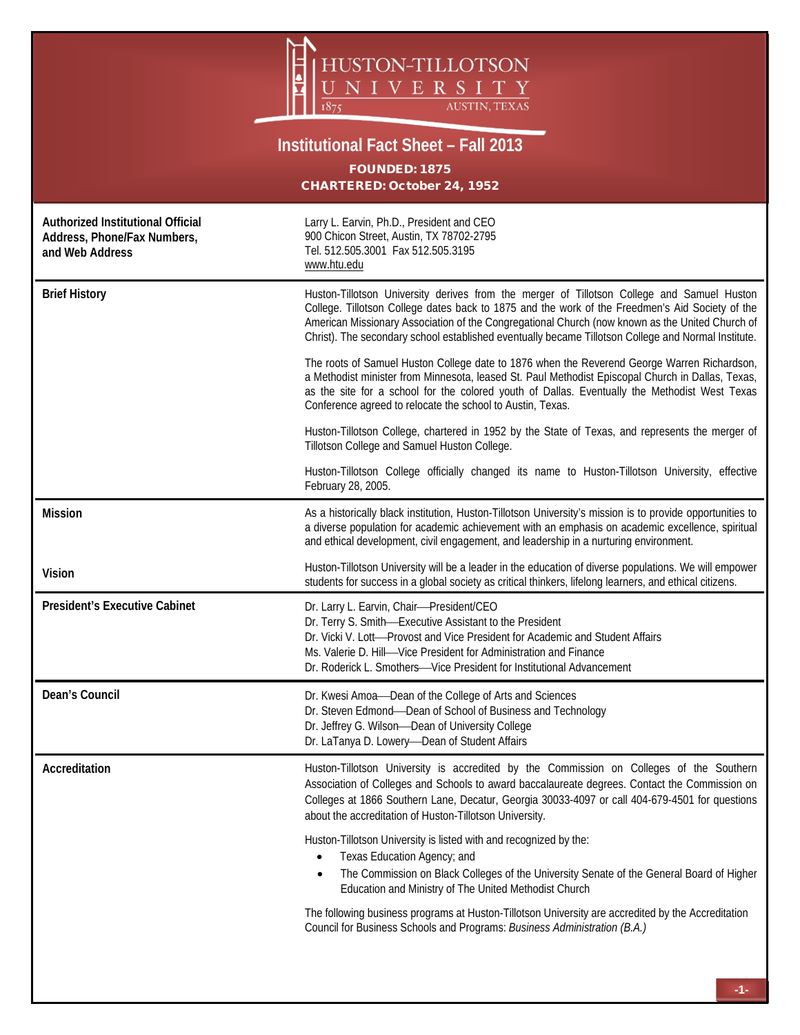

## **Institutional Fact Sheet – Fall 2013**

FOUNDED: 1875 CHARTERED: October 24, 1952

| Authorized Institutional Official<br>Address, Phone/Fax Numbers,<br>and Web Address | Larry L. Earvin, Ph.D., President and CEO<br>900 Chicon Street, Austin, TX 78702-2795<br>Tel. 512.505.3001 Fax 512.505.3195<br>www.htu.edu                                                                                                                                                                                                                                                              |  |
|-------------------------------------------------------------------------------------|---------------------------------------------------------------------------------------------------------------------------------------------------------------------------------------------------------------------------------------------------------------------------------------------------------------------------------------------------------------------------------------------------------|--|
| <b>Brief History</b>                                                                | Huston-Tillotson University derives from the merger of Tillotson College and Samuel Huston<br>College. Tillotson College dates back to 1875 and the work of the Freedmen's Aid Society of the<br>American Missionary Association of the Congregational Church (now known as the United Church of<br>Christ). The secondary school established eventually became Tillotson College and Normal Institute. |  |
|                                                                                     | The roots of Samuel Huston College date to 1876 when the Reverend George Warren Richardson,<br>a Methodist minister from Minnesota, leased St. Paul Methodist Episcopal Church in Dallas, Texas,<br>as the site for a school for the colored youth of Dallas. Eventually the Methodist West Texas<br>Conference agreed to relocate the school to Austin, Texas.                                         |  |
|                                                                                     | Huston-Tillotson College, chartered in 1952 by the State of Texas, and represents the merger of<br>Tillotson College and Samuel Huston College.                                                                                                                                                                                                                                                         |  |
|                                                                                     | Huston-Tillotson College officially changed its name to Huston-Tillotson University, effective<br>February 28, 2005.                                                                                                                                                                                                                                                                                    |  |
| <b>Mission</b>                                                                      | As a historically black institution, Huston-Tillotson University's mission is to provide opportunities to<br>a diverse population for academic achievement with an emphasis on academic excellence, spiritual<br>and ethical development, civil engagement, and leadership in a nurturing environment.                                                                                                  |  |
| <b>Vision</b>                                                                       | Huston-Tillotson University will be a leader in the education of diverse populations. We will empower<br>students for success in a global society as critical thinkers, lifelong learners, and ethical citizens.                                                                                                                                                                                        |  |
|                                                                                     |                                                                                                                                                                                                                                                                                                                                                                                                         |  |
| <b>President's Executive Cabinet</b>                                                | Dr. Larry L. Earvin, Chair-President/CEO<br>Dr. Terry S. Smith-Executive Assistant to the President<br>Dr. Vicki V. Lott-Provost and Vice President for Academic and Student Affairs<br>Ms. Valerie D. Hill-Vice President for Administration and Finance<br>Dr. Roderick L. Smothers-Vice President for Institutional Advancement                                                                      |  |
| Dean's Council                                                                      | Dr. Kwesi Amoa-Dean of the College of Arts and Sciences<br>Dr. Steven Edmond-Dean of School of Business and Technology<br>Dr. Jeffrey G. Wilson-Dean of University College<br>Dr. LaTanya D. Lowery-Dean of Student Affairs                                                                                                                                                                             |  |
| Accreditation                                                                       | Huston-Tillotson University is accredited by the Commission on Colleges of the Southern<br>Association of Colleges and Schools to award baccalaureate degrees. Contact the Commission on<br>Colleges at 1866 Southern Lane, Decatur, Georgia 30033-4097 or call 404-679-4501 for questions<br>about the accreditation of Huston-Tillotson University.                                                   |  |
|                                                                                     | Huston-Tillotson University is listed with and recognized by the:<br>Texas Education Agency; and<br>$\bullet$<br>The Commission on Black Colleges of the University Senate of the General Board of Higher<br>Education and Ministry of The United Methodist Church                                                                                                                                      |  |